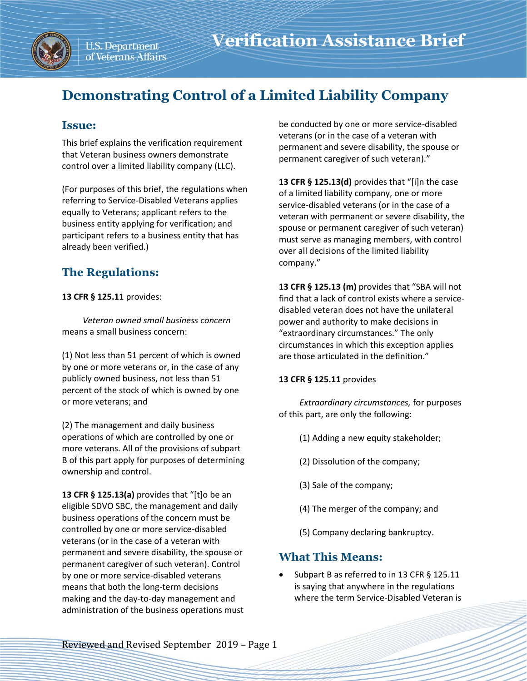

# **Demonstrating Control of a Limited Liability Company**

### **Issue:**

This brief explains the verification requirement that Veteran business owners demonstrate control over a limited liability company (LLC).

(For purposes of this brief, the regulations when referring to Service-Disabled Veterans applies equally to Veterans; applicant refers to the business entity applying for verification; and participant refers to a business entity that has already been verified.)

# **The Regulations:**

**13 CFR § 125.11** provides:

*Veteran owned small business concern* means a small business concern:

(1) Not less than 51 percent of which is owned by one or more veterans or, in the case of any publicly owned business, not less than 51 percent of the stock of which is owned by one or more veterans; and

(2) The management and daily business operations of which are controlled by one or more veterans. All of the provisions of subpart B of this part apply for purposes of determining ownership and control.

**13 CFR § 125.13(a)** provides that "[t]o be an eligible SDVO SBC, the management and daily business operations of the concern must be controlled by one or more service-disabled veterans (or in the case of a veteran with permanent and severe disability, the spouse or permanent caregiver of such veteran). Control by one or more service-disabled veterans means that both the long-term decisions making and the day-to-day management and administration of the business operations must be conducted by one or more service-disabled veterans (or in the case of a veteran with permanent and severe disability, the spouse or permanent caregiver of such veteran)."

**13 CFR § 125.13(d)** provides that "[i]n the case of a limited liability company, one or more service-disabled veterans (or in the case of a veteran with permanent or severe disability, the spouse or permanent caregiver of such veteran) must serve as managing members, with control over all decisions of the limited liability company."

**13 CFR § 125.13 (m)** provides that "SBA will not find that a lack of control exists where a servicedisabled veteran does not have the unilateral power and authority to make decisions in "extraordinary circumstances." The only circumstances in which this exception applies are those articulated in the definition."

#### **13 CFR § 125.11** provides

*Extraordinary circumstances,* for purposes of this part, are only the following:

- (1) Adding a new equity stakeholder;
- (2) Dissolution of the company;
- (3) Sale of the company;
- (4) The merger of the company; and
- (5) Company declaring bankruptcy.

## **What This Means:**

Subpart B as referred to in 13 CFR § 125.11 is saying that anywhere in the regulations where the term Service-Disabled Veteran is